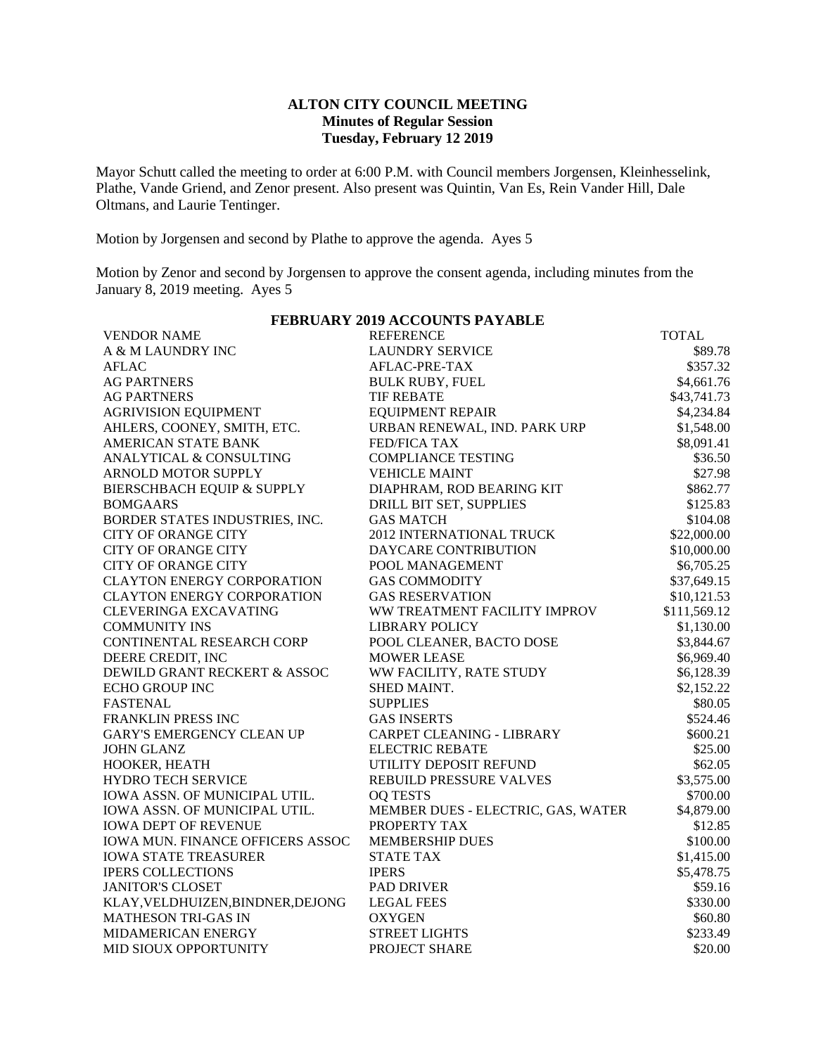### **ALTON CITY COUNCIL MEETING Minutes of Regular Session Tuesday, February 12 2019**

Mayor Schutt called the meeting to order at 6:00 P.M. with Council members Jorgensen, Kleinhesselink, Plathe, Vande Griend, and Zenor present. Also present was Quintin, Van Es, Rein Vander Hill, Dale Oltmans, and Laurie Tentinger.

Motion by Jorgensen and second by Plathe to approve the agenda. Ayes 5

Motion by Zenor and second by Jorgensen to approve the consent agenda, including minutes from the January 8, 2019 meeting. Ayes 5

| FEBRUARY 2019 ACCOUNTS PAYABLE          |                                    |              |  |  |  |
|-----------------------------------------|------------------------------------|--------------|--|--|--|
| <b>VENDOR NAME</b>                      | <b>REFERENCE</b>                   | <b>TOTAL</b> |  |  |  |
| A & M LAUNDRY INC                       | <b>LAUNDRY SERVICE</b>             | \$89.78      |  |  |  |
| <b>AFLAC</b>                            | AFLAC-PRE-TAX                      | \$357.32     |  |  |  |
| <b>AG PARTNERS</b>                      | <b>BULK RUBY, FUEL</b>             | \$4,661.76   |  |  |  |
| <b>AG PARTNERS</b>                      | <b>TIF REBATE</b>                  | \$43,741.73  |  |  |  |
| <b>AGRIVISION EQUIPMENT</b>             | <b>EQUIPMENT REPAIR</b>            | \$4,234.84   |  |  |  |
| AHLERS, COONEY, SMITH, ETC.             | URBAN RENEWAL, IND. PARK URP       | \$1,548.00   |  |  |  |
| AMERICAN STATE BANK                     | <b>FED/FICA TAX</b>                | \$8,091.41   |  |  |  |
| ANALYTICAL & CONSULTING                 | <b>COMPLIANCE TESTING</b>          | \$36.50      |  |  |  |
| ARNOLD MOTOR SUPPLY                     | <b>VEHICLE MAINT</b>               | \$27.98      |  |  |  |
| BIERSCHBACH EQUIP & SUPPLY              | DIAPHRAM, ROD BEARING KIT          | \$862.77     |  |  |  |
| <b>BOMGAARS</b>                         | DRILL BIT SET, SUPPLIES            | \$125.83     |  |  |  |
| BORDER STATES INDUSTRIES, INC.          | <b>GAS MATCH</b>                   | \$104.08     |  |  |  |
| <b>CITY OF ORANGE CITY</b>              | 2012 INTERNATIONAL TRUCK           | \$22,000.00  |  |  |  |
| <b>CITY OF ORANGE CITY</b>              | DAYCARE CONTRIBUTION               | \$10,000.00  |  |  |  |
| <b>CITY OF ORANGE CITY</b>              | POOL MANAGEMENT                    | \$6,705.25   |  |  |  |
| <b>CLAYTON ENERGY CORPORATION</b>       | <b>GAS COMMODITY</b>               | \$37,649.15  |  |  |  |
| <b>CLAYTON ENERGY CORPORATION</b>       | <b>GAS RESERVATION</b>             | \$10,121.53  |  |  |  |
| <b>CLEVERINGA EXCAVATING</b>            | WW TREATMENT FACILITY IMPROV       | \$111,569.12 |  |  |  |
| <b>COMMUNITY INS</b>                    | <b>LIBRARY POLICY</b>              | \$1,130.00   |  |  |  |
| CONTINENTAL RESEARCH CORP               | POOL CLEANER, BACTO DOSE           | \$3,844.67   |  |  |  |
| DEERE CREDIT, INC                       | <b>MOWER LEASE</b>                 | \$6,969.40   |  |  |  |
| DEWILD GRANT RECKERT & ASSOC            | WW FACILITY, RATE STUDY            | \$6,128.39   |  |  |  |
| ECHO GROUP INC                          | SHED MAINT.                        | \$2,152.22   |  |  |  |
| <b>FASTENAL</b>                         | <b>SUPPLIES</b>                    | \$80.05      |  |  |  |
| FRANKLIN PRESS INC                      | <b>GAS INSERTS</b>                 | \$524.46     |  |  |  |
| <b>GARY'S EMERGENCY CLEAN UP</b>        | CARPET CLEANING - LIBRARY          | \$600.21     |  |  |  |
| <b>JOHN GLANZ</b>                       | <b>ELECTRIC REBATE</b>             | \$25.00      |  |  |  |
| HOOKER, HEATH                           | UTILITY DEPOSIT REFUND             | \$62.05      |  |  |  |
| HYDRO TECH SERVICE                      | REBUILD PRESSURE VALVES            | \$3,575.00   |  |  |  |
| IOWA ASSN. OF MUNICIPAL UTIL.           | <b>OQ TESTS</b>                    | \$700.00     |  |  |  |
| IOWA ASSN. OF MUNICIPAL UTIL.           | MEMBER DUES - ELECTRIC, GAS, WATER | \$4,879.00   |  |  |  |
| <b>IOWA DEPT OF REVENUE</b>             | PROPERTY TAX                       | \$12.85      |  |  |  |
| <b>IOWA MUN. FINANCE OFFICERS ASSOC</b> | <b>MEMBERSHIP DUES</b>             | \$100.00     |  |  |  |
| <b>IOWA STATE TREASURER</b>             | <b>STATE TAX</b>                   | \$1,415.00   |  |  |  |
| <b>IPERS COLLECTIONS</b>                | <b>IPERS</b>                       | \$5,478.75   |  |  |  |
| <b>JANITOR'S CLOSET</b>                 | <b>PAD DRIVER</b>                  | \$59.16      |  |  |  |
| KLAY, VELDHUIZEN, BINDNER, DEJONG       | <b>LEGAL FEES</b>                  | \$330.00     |  |  |  |
| <b>MATHESON TRI-GAS IN</b>              | <b>OXYGEN</b>                      | \$60.80      |  |  |  |
| MIDAMERICAN ENERGY                      | <b>STREET LIGHTS</b>               | \$233.49     |  |  |  |
| MID SIOUX OPPORTUNITY                   | PROJECT SHARE                      | \$20.00      |  |  |  |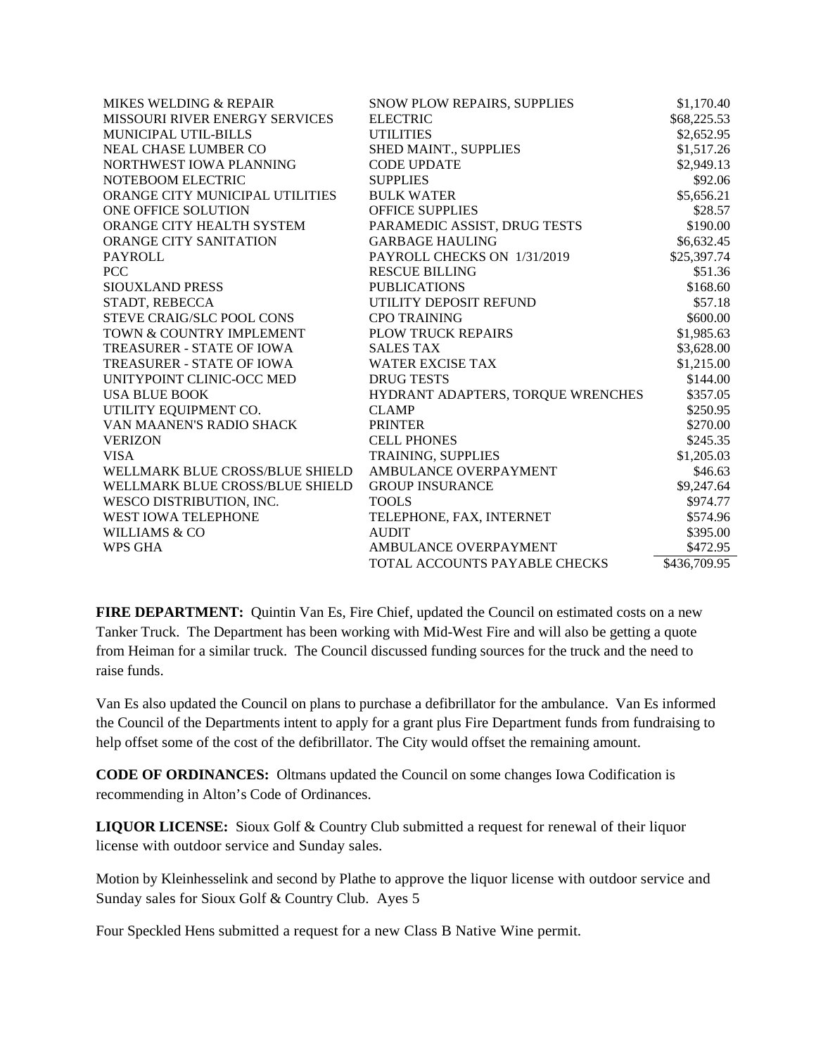| MIKES WELDING & REPAIR                | SNOW PLOW REPAIRS, SUPPLIES       | \$1,170.40   |
|---------------------------------------|-----------------------------------|--------------|
| <b>MISSOURI RIVER ENERGY SERVICES</b> | <b>ELECTRIC</b>                   | \$68,225.53  |
| <b>MUNICIPAL UTIL-BILLS</b>           | <b>UTILITIES</b>                  | \$2,652.95   |
| <b>NEAL CHASE LUMBER CO</b>           | SHED MAINT., SUPPLIES             | \$1,517.26   |
| NORTHWEST IOWA PLANNING               | <b>CODE UPDATE</b>                | \$2,949.13   |
| NOTEBOOM ELECTRIC                     | <b>SUPPLIES</b>                   | \$92.06      |
| ORANGE CITY MUNICIPAL UTILITIES       | <b>BULK WATER</b>                 | \$5,656.21   |
| ONE OFFICE SOLUTION                   | <b>OFFICE SUPPLIES</b>            | \$28.57      |
| ORANGE CITY HEALTH SYSTEM             | PARAMEDIC ASSIST, DRUG TESTS      | \$190.00     |
| ORANGE CITY SANITATION                | <b>GARBAGE HAULING</b>            | \$6,632.45   |
| <b>PAYROLL</b>                        | PAYROLL CHECKS ON 1/31/2019       | \$25,397.74  |
| <b>PCC</b>                            | <b>RESCUE BILLING</b>             | \$51.36      |
| SIOUXLAND PRESS                       | <b>PUBLICATIONS</b>               | \$168.60     |
| STADT, REBECCA                        | UTILITY DEPOSIT REFUND            | \$57.18      |
| STEVE CRAIG/SLC POOL CONS             | <b>CPO TRAINING</b>               | \$600.00     |
| TOWN & COUNTRY IMPLEMENT              | <b>PLOW TRUCK REPAIRS</b>         | \$1,985.63   |
| TREASURER - STATE OF IOWA             | <b>SALES TAX</b>                  | \$3,628.00   |
| TREASURER - STATE OF IOWA             | <b>WATER EXCISE TAX</b>           | \$1,215.00   |
| UNITYPOINT CLINIC-OCC MED             | <b>DRUG TESTS</b>                 | \$144.00     |
| <b>USA BLUE BOOK</b>                  | HYDRANT ADAPTERS, TORQUE WRENCHES | \$357.05     |
| UTILITY EQUIPMENT CO.                 | <b>CLAMP</b>                      | \$250.95     |
| VAN MAANEN'S RADIO SHACK              | <b>PRINTER</b>                    | \$270.00     |
| <b>VERIZON</b>                        | <b>CELL PHONES</b>                | \$245.35     |
| <b>VISA</b>                           | TRAINING, SUPPLIES                | \$1,205.03   |
| WELLMARK BLUE CROSS/BLUE SHIELD       | AMBULANCE OVERPAYMENT             | \$46.63      |
| WELLMARK BLUE CROSS/BLUE SHIELD       | <b>GROUP INSURANCE</b>            | \$9,247.64   |
| WESCO DISTRIBUTION, INC.              | <b>TOOLS</b>                      | \$974.77     |
| <b>WEST IOWA TELEPHONE</b>            | TELEPHONE, FAX, INTERNET          | \$574.96     |
| <b>WILLIAMS &amp; CO</b>              | <b>AUDIT</b>                      | \$395.00     |
| <b>WPS GHA</b>                        | AMBULANCE OVERPAYMENT             | \$472.95     |
|                                       | TOTAL ACCOUNTS PAYABLE CHECKS     | \$436,709.95 |

**FIRE DEPARTMENT:** Quintin Van Es, Fire Chief, updated the Council on estimated costs on a new Tanker Truck. The Department has been working with Mid-West Fire and will also be getting a quote from Heiman for a similar truck. The Council discussed funding sources for the truck and the need to raise funds.

Van Es also updated the Council on plans to purchase a defibrillator for the ambulance. Van Es informed the Council of the Departments intent to apply for a grant plus Fire Department funds from fundraising to help offset some of the cost of the defibrillator. The City would offset the remaining amount.

**CODE OF ORDINANCES:** Oltmans updated the Council on some changes Iowa Codification is recommending in Alton's Code of Ordinances.

**LIQUOR LICENSE:** Sioux Golf & Country Club submitted a request for renewal of their liquor license with outdoor service and Sunday sales.

Motion by Kleinhesselink and second by Plathe to approve the liquor license with outdoor service and Sunday sales for Sioux Golf & Country Club. Ayes 5

Four Speckled Hens submitted a request for a new Class B Native Wine permit.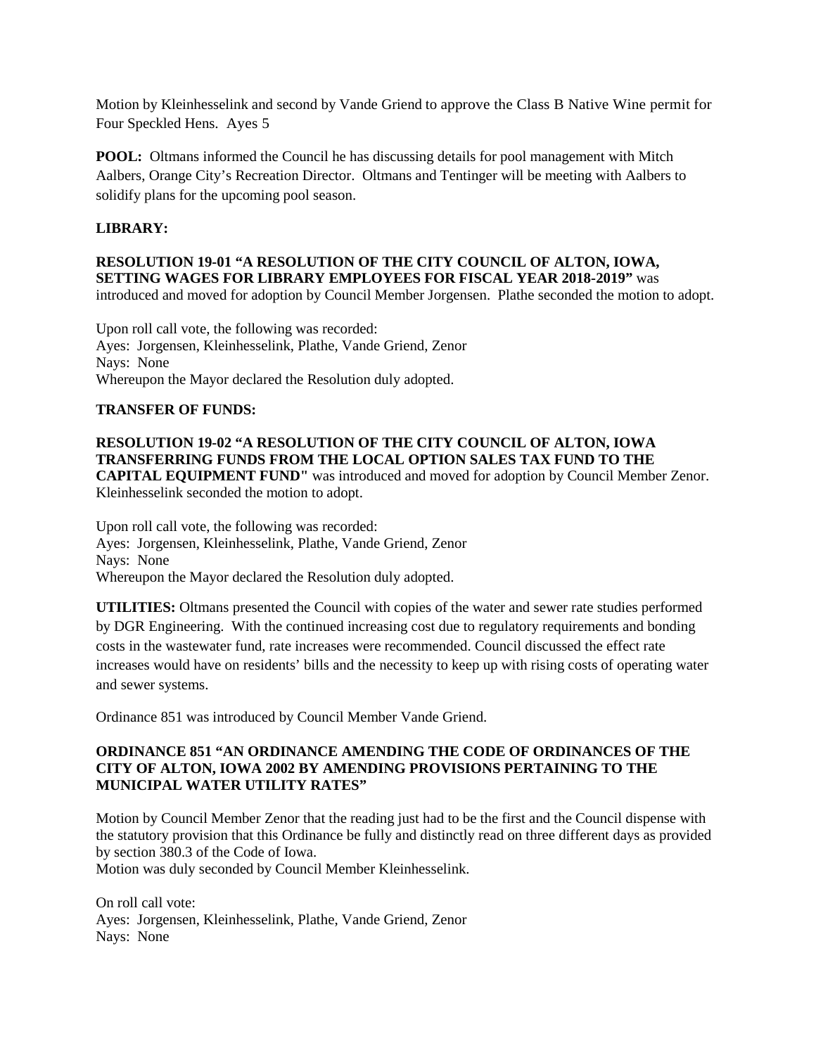Motion by Kleinhesselink and second by Vande Griend to approve the Class B Native Wine permit for Four Speckled Hens. Ayes 5

**POOL:** Oltmans informed the Council he has discussing details for pool management with Mitch Aalbers, Orange City's Recreation Director. Oltmans and Tentinger will be meeting with Aalbers to solidify plans for the upcoming pool season.

# **LIBRARY:**

### **RESOLUTION 19-01 "A RESOLUTION OF THE CITY COUNCIL OF ALTON, IOWA, SETTING WAGES FOR LIBRARY EMPLOYEES FOR FISCAL YEAR 2018-2019"** was introduced and moved for adoption by Council Member Jorgensen. Plathe seconded the motion to adopt.

Upon roll call vote, the following was recorded: Ayes: Jorgensen, Kleinhesselink, Plathe, Vande Griend, Zenor Nays: None Whereupon the Mayor declared the Resolution duly adopted.

## **TRANSFER OF FUNDS:**

# **RESOLUTION 19-02 "A RESOLUTION OF THE CITY COUNCIL OF ALTON, IOWA TRANSFERRING FUNDS FROM THE LOCAL OPTION SALES TAX FUND TO THE CAPITAL EQUIPMENT FUND"** was introduced and moved for adoption by Council Member Zenor.

Kleinhesselink seconded the motion to adopt.

Upon roll call vote, the following was recorded: Ayes: Jorgensen, Kleinhesselink, Plathe, Vande Griend, Zenor Nays: None Whereupon the Mayor declared the Resolution duly adopted.

**UTILITIES:** Oltmans presented the Council with copies of the water and sewer rate studies performed by DGR Engineering. With the continued increasing cost due to regulatory requirements and bonding costs in the wastewater fund, rate increases were recommended. Council discussed the effect rate increases would have on residents' bills and the necessity to keep up with rising costs of operating water and sewer systems.

Ordinance 851 was introduced by Council Member Vande Griend.

# **ORDINANCE 851 "AN ORDINANCE AMENDING THE CODE OF ORDINANCES OF THE CITY OF ALTON, IOWA 2002 BY AMENDING PROVISIONS PERTAINING TO THE MUNICIPAL WATER UTILITY RATES"**

Motion by Council Member Zenor that the reading just had to be the first and the Council dispense with the statutory provision that this Ordinance be fully and distinctly read on three different days as provided by section 380.3 of the Code of Iowa.

Motion was duly seconded by Council Member Kleinhesselink.

On roll call vote: Ayes: Jorgensen, Kleinhesselink, Plathe, Vande Griend, Zenor Nays: None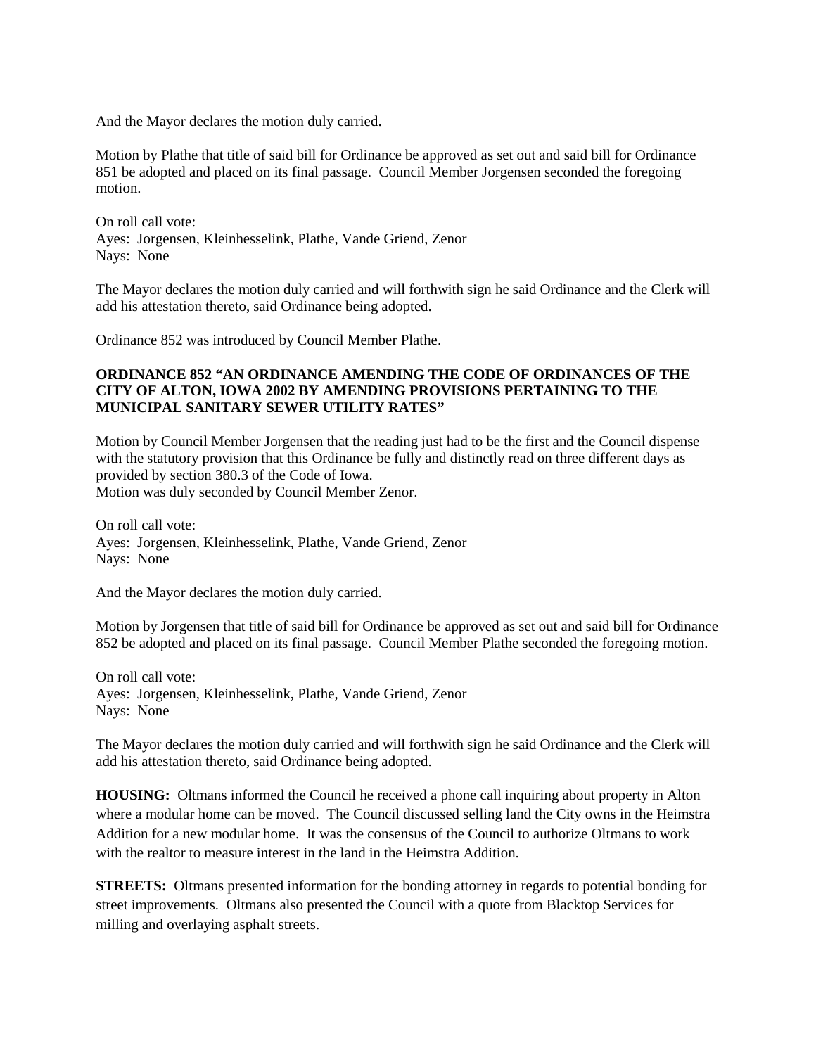And the Mayor declares the motion duly carried.

Motion by Plathe that title of said bill for Ordinance be approved as set out and said bill for Ordinance 851 be adopted and placed on its final passage. Council Member Jorgensen seconded the foregoing motion.

On roll call vote: Ayes: Jorgensen, Kleinhesselink, Plathe, Vande Griend, Zenor Nays: None

The Mayor declares the motion duly carried and will forthwith sign he said Ordinance and the Clerk will add his attestation thereto, said Ordinance being adopted.

Ordinance 852 was introduced by Council Member Plathe.

## **ORDINANCE 852 "AN ORDINANCE AMENDING THE CODE OF ORDINANCES OF THE CITY OF ALTON, IOWA 2002 BY AMENDING PROVISIONS PERTAINING TO THE MUNICIPAL SANITARY SEWER UTILITY RATES"**

Motion by Council Member Jorgensen that the reading just had to be the first and the Council dispense with the statutory provision that this Ordinance be fully and distinctly read on three different days as provided by section 380.3 of the Code of Iowa. Motion was duly seconded by Council Member Zenor.

On roll call vote: Ayes: Jorgensen, Kleinhesselink, Plathe, Vande Griend, Zenor Nays: None

And the Mayor declares the motion duly carried.

Motion by Jorgensen that title of said bill for Ordinance be approved as set out and said bill for Ordinance 852 be adopted and placed on its final passage. Council Member Plathe seconded the foregoing motion.

On roll call vote: Ayes: Jorgensen, Kleinhesselink, Plathe, Vande Griend, Zenor Nays: None

The Mayor declares the motion duly carried and will forthwith sign he said Ordinance and the Clerk will add his attestation thereto, said Ordinance being adopted.

**HOUSING:** Oltmans informed the Council he received a phone call inquiring about property in Alton where a modular home can be moved. The Council discussed selling land the City owns in the Heimstra Addition for a new modular home. It was the consensus of the Council to authorize Oltmans to work with the realtor to measure interest in the land in the Heimstra Addition.

**STREETS:** Oltmans presented information for the bonding attorney in regards to potential bonding for street improvements. Oltmans also presented the Council with a quote from Blacktop Services for milling and overlaying asphalt streets.